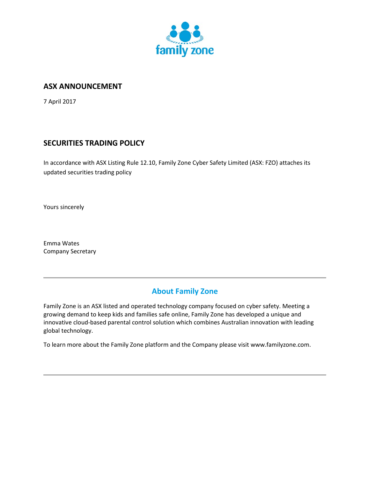

## **ASX ANNOUNCEMENT**

7 April 2017

# **SECURITIES TRADING POLICY**

In accordance with ASX Listing Rule 12.10, Family Zone Cyber Safety Limited (ASX: FZO) attaches its updated securities trading policy

Yours sincerely

Emma Wates Company Secretary

# **About Family Zone**

Family Zone is an ASX listed and operated technology company focused on cyber safety. Meeting a growing demand to keep kids and families safe online, Family Zone has developed a unique and innovative cloud-based parental control solution which combines Australian innovation with leading global technology.

To learn more about the Family Zone platform and the Company please visit www.familyzone.com.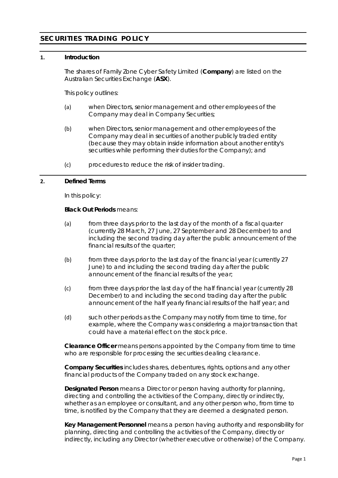# **SECURITIES TRADING POLICY**

## **1. Introduction**

The shares of Family Zone Cyber Safety Limited (**Company**) are listed on the Australian Securities Exchange (**ASX**).

This policy outlines:

- (a) when Directors, senior management and other employees of the Company may deal in Company Securities;
- (b) when Directors, senior management and other employees of the Company may deal in securities of another publicly traded entity (because they may obtain inside information about another entity's securities while performing their duties for the Company); and
- (c) procedures to reduce the risk of insider trading.

## **2. Defined Terms**

In this policy:

## **Black Out Periods** means:

- (a) from three days prior to the last day of the month of a fiscal quarter (currently 28 March, 27 June, 27 September and 28 December) to and including the second trading day after the public announcement of the financial results of the quarter;
- (b) from three days prior to the last day of the financial year (currently 27 June) to and including the second trading day after the public announcement of the financial results of the year;
- (c) from three days prior the last day of the half financial year (currently 28 December) to and including the second trading day after the public announcement of the half yearly financial results of the half year; and
- (d) such other periods as the Company may notify from time to time, for example, where the Company was considering a major transaction that could have a material effect on the stock price.

**Clearance Officer** means persons appointed by the Company from time to time who are responsible for processing the securities dealing clearance.

**Company Securities** includes shares, debentures, rights, options and any other financial products of the Company traded on any stock exchange.

**Designated Person** means a Director or person having authority for planning, directing and controlling the activities of the Company, directly or indirectly, whether as an employee or consultant, and any other person who, from time to time, is notified by the Company that they are deemed a designated person.

**Key Management Personnel** means a person having authority and responsibility for planning, directing and controlling the activities of the Company, directly or indirectly, including any Director (whether executive or otherwise) of the Company.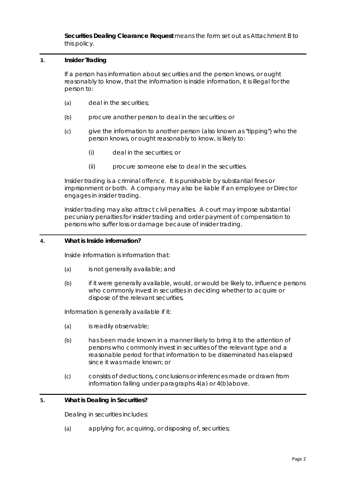**Securities Dealing Clearance Request** means the form set out as Attachment B to this policy.

## **3. Insider Trading**

If a person has information about securities and the person knows, or ought reasonably to know, that the information is inside information, it is illegal for the person to:

- (a) deal in the securities;
- (b) procure another person to deal in the securities; or
- (c) give the information to another person (also known as "tipping") who the person knows, or ought reasonably to know, is likely to:
	- (i) deal in the securities; or
	- (ii) procure someone else to deal in the securities.

Insider trading is a criminal offence. It is punishable by substantial fines or imprisonment or both. A company may also be liable if an employee or Director engages in insider trading.

Insider trading may also attract civil penalties. A court may impose substantial pecuniary penalties for insider trading and order payment of compensation to persons who suffer loss or damage because of insider trading.

## <span id="page-2-0"></span>**4. What is Inside information?**

Inside information is information that:

- <span id="page-2-1"></span>(a) is not generally available; and
- (b) if it were generally available, would, or would be likely to, influence persons who commonly invest in securities in deciding whether to acquire or dispose of the relevant securities.

Information is generally available if it:

- (a) is readily observable;
- (b) has been made known in a manner likely to bring it to the attention of persons who commonly invest in securities of the relevant type and a reasonable period for that information to be disseminated has elapsed since it was made known; or
- (c) consists of deductions, conclusions or inferences made or drawn from information falling under paragraphs [4\(a\)](#page-2-0) or [4\(b\)a](#page-2-1)bove.

## **5. What is Dealing in Securities?**

Dealing in securities includes:

(a) applying for, acquiring, or disposing of, securities;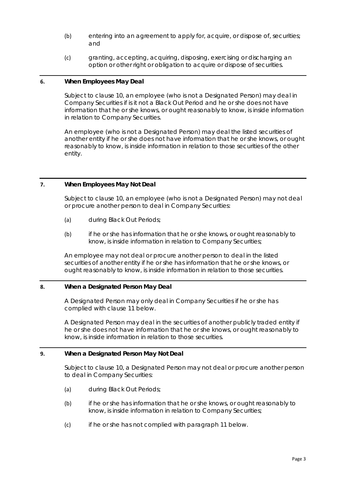- (b) entering into an agreement to apply for, acquire, or dispose of, securities; and
- (c) granting, accepting, acquiring, disposing, exercising or discharging an option or other right or obligation to acquire or dispose of securities.

## **6. When Employees May Deal**

Subject to clause 10, an employee (who is not a Designated Person) may deal in Company Securities if is it not a Black Out Period and he or she does not have information that he or she knows, or ought reasonably to know, is inside information in relation to Company Securities.

An employee (who is not a Designated Person) may deal the listed securities of another entity if he or she does not have information that he or she knows, or ought reasonably to know, is inside information in relation to those securities of the other entity.

## **7. When Employees May Not Deal**

Subject to clause [10,](#page-4-0) an employee (who is not a Designated Person) may not deal or procure another person to deal in Company Securities:

- (a) during Black Out Periods;
- (b) if he or she has information that he or she knows, or ought reasonably to know, is inside information in relation to Company Securities;

An employee may not deal or procure another person to deal in the listed securities of another entity if he or she has information that he or she knows, or ought reasonably to know, is inside information in relation to those securities.

## **8. When a Designated Person May Deal**

A Designated Person may only deal in Company Securities if he or she has complied with clause [11](#page-4-1) below.

A Designated Person may deal in the securities of another publicly traded entity if he or she does not have information that he or she knows, or ought reasonably to know, is inside information in relation to those securities.

## **9. When a Designated Person May Not Deal**

Subject to clause [10,](#page-4-0) a Designated Person may not deal or procure another person to deal in Company Securities:

- <span id="page-3-2"></span><span id="page-3-0"></span>(a) during Black Out Periods;
- (b) if he or she has information that he or she knows, or ought reasonably to know, is inside information in relation to Company Securities;
- <span id="page-3-1"></span>(c) if he or she has not complied with paragraph 11 below.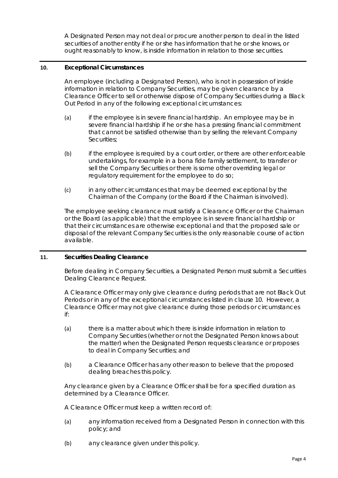A Designated Person may not deal or procure another person to deal in the listed securities of another entity if he or she has information that he or she knows, or ought reasonably to know, is inside information in relation to those securities.

## <span id="page-4-0"></span>**10. Exceptional Circumstances**

An employee (including a Designated Person), who is not in possession of inside information in relation to Company Securities, may be given clearance by a Clearance Officer to sell or otherwise dispose of Company Securities during a Black Out Period in any of the following exceptional circumstances:

- (a) if the employee is in severe financial hardship. An employee may be in severe financial hardship if he or she has a pressing financial commitment that cannot be satisfied otherwise than by selling the relevant Company Securities;
- $(b)$  if the employee is required by a court order, or there are other enforceable undertakings, for example in a bona fide family settlement, to transfer or sell the Company Securities or there is some other overriding legal or regulatory requirement for the employee to do so;
- (c) in any other circumstances that may be deemed exceptional by the Chairman of the Company (or the Board if the Chairman is involved).

The employee seeking clearance must satisfy a Clearance Officer or the Chairman or the Board (as applicable) that the employee is in severe financial hardship or that their circumstances are otherwise exceptional and that the proposed sale or disposal of the relevant Company Securities is the only reasonable course of action available.

## <span id="page-4-1"></span>**11. Securities Dealing Clearance**

Before dealing in Company Securities, a Designated Person must submit a Securities Dealing Clearance Request.

A Clearance Officer may only give clearance during periods that are not Black Out Periods or in any of the exceptional circumstances listed in clause [10.](#page-4-0) However, a Clearance Officer may not give clearance during those periods or circumstances if:

- (a) there is a matter about which there is inside information in relation to Company Securities (whether or not the Designated Person knows about the matter) when the Designated Person requests clearance or proposes to deal in Company Securities; and
- (b) a Clearance Officer has any other reason to believe that the proposed dealing breaches this policy.

Any clearance given by a Clearance Officer shall be for a specified duration as determined by a Clearance Officer.

A Clearance Officer must keep a written record of:

- (a) any information received from a Designated Person in connection with this policy; and
- (b) any clearance given under this policy.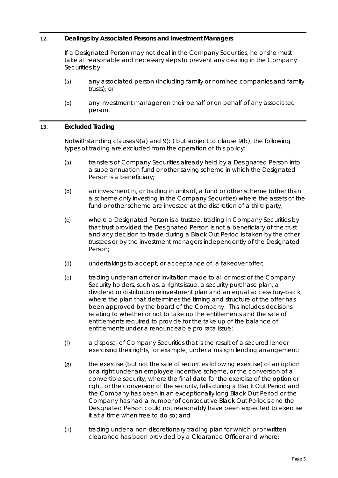## **12. Dealings by Associated Persons and Investment Managers**

If a Designated Person may not deal in the Company Securities, he or she must take all reasonable and necessary steps to prevent any dealing in the Company Securities by:

- (a) any associated person (including family or nominee companies and family trusts); or
- (b) any investment manager on their behalf or on behalf of any associated person.

## **13. Excluded Trading**

Notwithstanding clauses [9\(a\)](#page-3-0) and [9\(c\)](#page-3-1) but subject to claus[e 9\(b\),](#page-3-2) the following types of trading are excluded from the operation of this policy:

- (a) transfers of Company Securities already held by a Designated Person into a superannuation fund or other saving scheme in which the Designated Person is a beneficiary;
- (b) an investment in, or trading in units of, a fund or other scheme (other than a scheme only investing in the Company Securities) where the assets of the fund or other scheme are invested at the discretion of a third party;
- (c) where a Designated Person is a trustee, trading in Company Securities by that trust provided the Designated Person is not a beneficiary of the trust and any decision to trade during a Black Out Period is taken by the other trustees or by the investment managers independently of the Designated Person;
- (d) undertakings to accept, or acceptance of, a takeover offer;
- (e) trading under an offer or invitation made to all or most of the Company Security holders, such as, a rights issue, a security purchase plan, a dividend or distribution reinvestment plan and an equal access buy-back, where the plan that determines the timing and structure of the offer has been approved by the board of the Company. This includes decisions relating to whether or not to take up the entitlements and the sale of entitlements required to provide for the take up of the balance of entitlements under a renounceable pro rata issue;
- (f) a disposal of Company Securities that is the result of a secured lender exercising their rights, for example, under a margin lending arrangement;
- (g) the exercise (but not the sale of securities following exercise) of an option or a right under an employee incentive scheme, or the conversion of a convertible security, where the final date for the exercise of the option or right, or the conversion of the security, falls during a Black Out Period and the Company has been in an exceptionally long Black Out Period or the Company has had a number of consecutive Black Out Periods and the Designated Person could not reasonably have been expected to exercise it at a time when free to do so; and
- (h) trading under a non-discretionary trading plan for which prior written clearance has been provided by a Clearance Officer and where: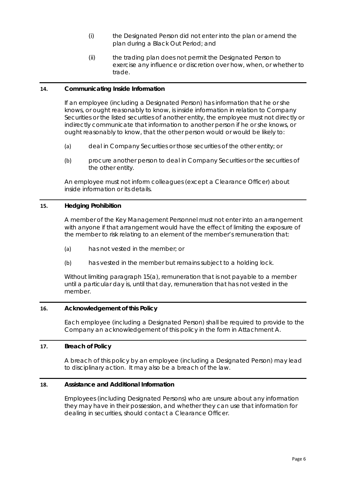- (i) the Designated Person did not enter into the plan or amend the plan during a Black Out Period; and
- (ii) the trading plan does not permit the Designated Person to exercise any influence or discretion over how, when, or whether to trade.

## **14. Communicating Inside Information**

If an employee (including a Designated Person) has information that he or she knows, or ought reasonably to know, is inside information in relation to Company Securities or the listed securities of another entity, the employee must not directly or indirectly communicate that information to another person if he or she knows, or ought reasonably to know, that the other person would or would be likely to:

- (a) deal in Company Securities or those securities of the other entity; or
- (b) procure another person to deal in Company Securities or the securities of the other entity.

An employee must not inform colleagues (except a Clearance Officer) about inside information or its details.

## **15. Hedging Prohibition**

A member of the Key Management Personnel must not enter into an arrangement with anyone if that arrangement would have the effect of limiting the exposure of the member to risk relating to an element of the member's remuneration that:

- <span id="page-6-0"></span>(a) has not vested in the member; or
- (b) has vested in the member but remains subject to a holding lock.

Without limiting paragraph [15\(a\),](#page-6-0) remuneration that is not payable to a member until a particular day is, until that day, remuneration that has not vested in the member.

## **16. Acknowledgement of this Policy**

Each employee (including a Designated Person) shall be required to provide to the Company an acknowledgement of this policy in the form in Attachment A.

## **17. Breach of Policy**

A breach of this policy by an employee (including a Designated Person) may lead to disciplinary action. It may also be a breach of the law.

## **18. Assistance and Additional Information**

Employees (including Designated Persons) who are unsure about any information they may have in their possession, and whether they can use that information for dealing in securities, should contact a Clearance Officer.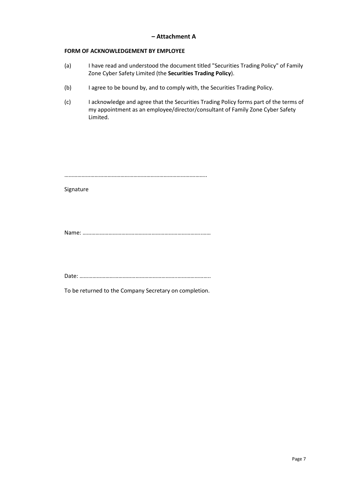## **– Attachment A**

## **FORM OF ACKNOWLEDGEMENT BY EMPLOYEE**

- (a) I have read and understood the document titled "Securities Trading Policy" of Family Zone Cyber Safety Limited (the **Securities Trading Policy**).
- (b) I agree to be bound by, and to comply with, the Securities Trading Policy.
- (c) I acknowledge and agree that the Securities Trading Policy forms part of the terms of my appointment as an employee/director/consultant of Family Zone Cyber Safety Limited.

…………………………………………………………………………….………..

Signature

Name: ………………………………………………………………………..……

Date: …………………………………………………………..…………………..

To be returned to the Company Secretary on completion.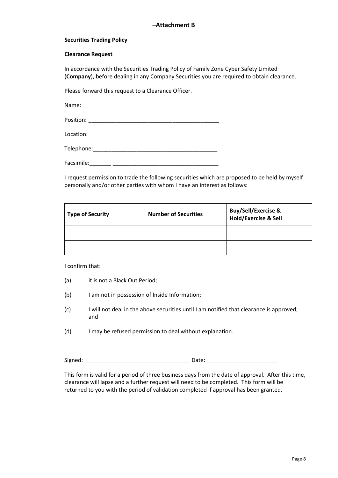## **–Attachment B**

#### **Securities Trading Policy**

#### **Clearance Request**

In accordance with the Securities Trading Policy of Family Zone Cyber Safety Limited (**Company**), before dealing in any Company Securities you are required to obtain clearance.

Please forward this request to a Clearance Officer.

Name: Position: \_\_\_\_\_\_\_\_\_\_\_\_\_\_\_\_\_\_\_\_\_\_\_\_\_\_\_\_\_\_\_\_\_\_\_\_\_\_\_\_\_\_

Location:

Telephone:\_\_\_\_\_\_\_\_\_\_\_\_\_\_\_\_\_\_\_\_\_\_\_\_\_\_\_\_\_\_\_\_\_\_\_\_\_\_\_\_

Facsimile:\_\_\_\_\_\_\_ \_\_\_\_\_\_\_\_\_\_\_\_\_\_\_\_\_\_\_\_\_\_\_\_\_\_\_\_\_\_\_\_\_\_

I request permission to trade the following securities which are proposed to be held by myself personally and/or other parties with whom I have an interest as follows:

| <b>Type of Security</b> | <b>Number of Securities</b> | Buy/Sell/Exercise &<br>Hold/Exercise & Sell |
|-------------------------|-----------------------------|---------------------------------------------|
|                         |                             |                                             |
|                         |                             |                                             |

I confirm that:

- (a) it is not a Black Out Period;
- (b) I am not in possession of Inside Information;
- (c) I will not deal in the above securities until I am notified that clearance is approved; and
- (d) I may be refused permission to deal without explanation.

Signed: \_\_\_\_\_\_\_\_\_\_\_\_\_\_\_\_\_\_\_\_\_\_\_\_\_\_\_\_\_\_\_\_\_\_ Date: \_\_\_\_\_\_\_\_\_\_\_\_\_\_\_\_\_\_\_\_\_\_\_

This form is valid for a period of three business days from the date of approval. After this time, clearance will lapse and a further request will need to be completed. This form will be returned to you with the period of validation completed if approval has been granted.